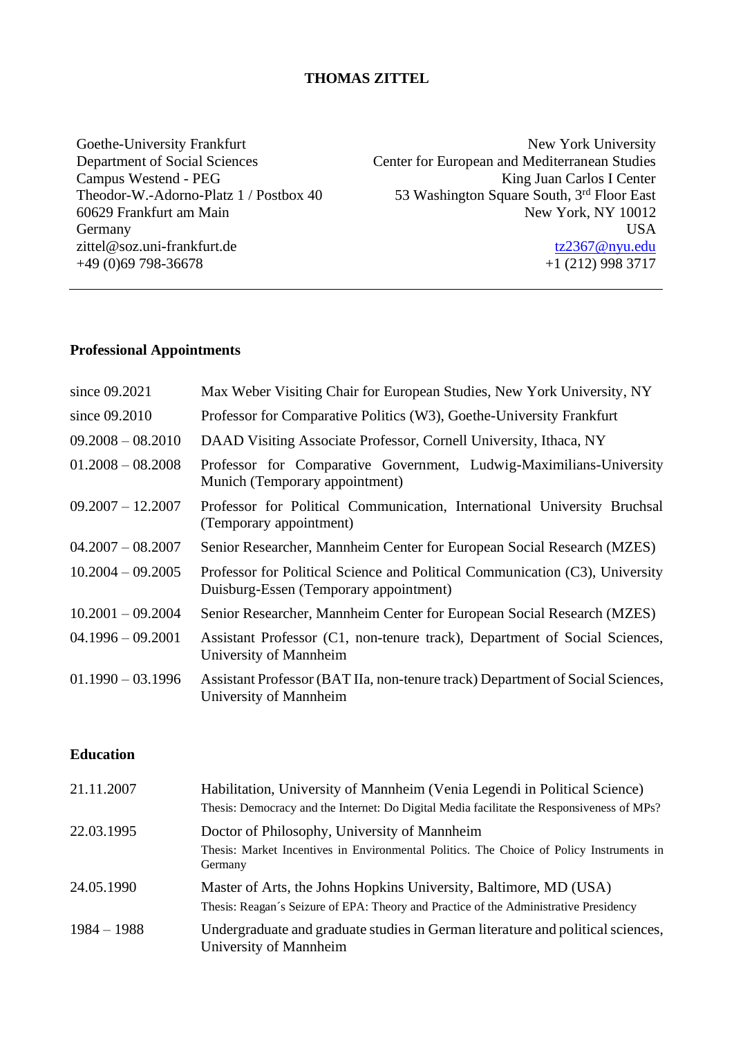# **THOMAS ZITTEL**

Goethe-University Frankfurt Department of Social Sciences Campus Westend - PEG Theodor-W.-Adorno-Platz 1 / Postbox 40 60629 Frankfurt am Main Germany zittel@soz.uni-frankfurt.de +49 (0)69 798-36678

New York University Center for European and Mediterranean Studies King Juan Carlos I Center 53 Washington Square South, 3rd Floor East New York, NY 10012 USA [tz2367@nyu.edu](mailto:tz2367@nyu.edu) +1 (212) 998 3717

## **Professional Appointments**

| since 09.2021       | Max Weber Visiting Chair for European Studies, New York University, NY                                                 |
|---------------------|------------------------------------------------------------------------------------------------------------------------|
| since 09.2010       | Professor for Comparative Politics (W3), Goethe-University Frankfurt                                                   |
| $09.2008 - 08.2010$ | DAAD Visiting Associate Professor, Cornell University, Ithaca, NY                                                      |
| $01.2008 - 08.2008$ | Professor for Comparative Government, Ludwig-Maximilians-University<br>Munich (Temporary appointment)                  |
| $09.2007 - 12.2007$ | Professor for Political Communication, International University Bruchsal<br>(Temporary appointment)                    |
| $04.2007 - 08.2007$ | Senior Researcher, Mannheim Center for European Social Research (MZES)                                                 |
| $10.2004 - 09.2005$ | Professor for Political Science and Political Communication (C3), University<br>Duisburg-Essen (Temporary appointment) |
| $10.2001 - 09.2004$ | Senior Researcher, Mannheim Center for European Social Research (MZES)                                                 |
| $04.1996 - 09.2001$ | Assistant Professor (C1, non-tenure track), Department of Social Sciences,<br>University of Mannheim                   |
| $01.1990 - 03.1996$ | Assistant Professor (BAT IIa, non-tenure track) Department of Social Sciences,<br>University of Mannheim               |

# **Education**

| 21.11.2007    | Habilitation, University of Mannheim (Venia Legendi in Political Science)<br>Thesis: Democracy and the Internet: Do Digital Media facilitate the Responsiveness of MPs? |
|---------------|-------------------------------------------------------------------------------------------------------------------------------------------------------------------------|
| 22.03.1995    | Doctor of Philosophy, University of Mannheim<br>Thesis: Market Incentives in Environmental Politics. The Choice of Policy Instruments in<br>Germany                     |
| 24.05.1990    | Master of Arts, the Johns Hopkins University, Baltimore, MD (USA)<br>Thesis: Reagan's Seizure of EPA: Theory and Practice of the Administrative Presidency              |
| $1984 - 1988$ | Undergraduate and graduate studies in German literature and political sciences,<br>University of Mannheim                                                               |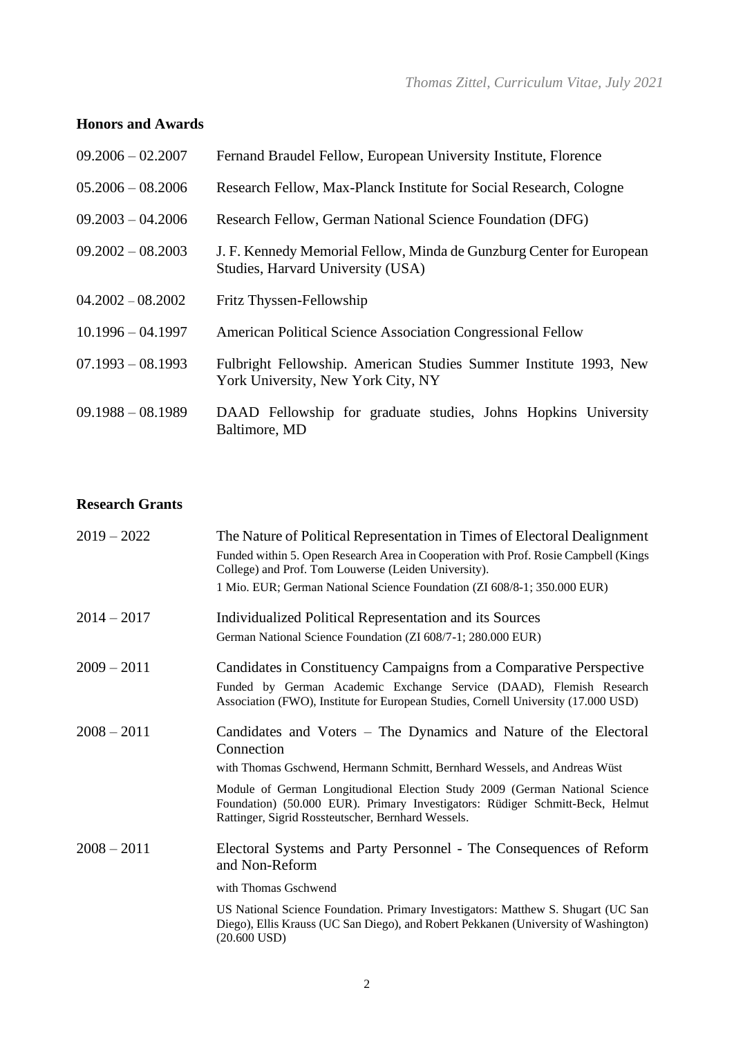# **Honors and Awards**

| $09.2006 - 02.2007$ | Fernand Braudel Fellow, European University Institute, Florence                                           |
|---------------------|-----------------------------------------------------------------------------------------------------------|
| $05.2006 - 08.2006$ | Research Fellow, Max-Planck Institute for Social Research, Cologne                                        |
| $09.2003 - 04.2006$ | Research Fellow, German National Science Foundation (DFG)                                                 |
| $09.2002 - 08.2003$ | J. F. Kennedy Memorial Fellow, Minda de Gunzburg Center for European<br>Studies, Harvard University (USA) |
| $04.2002 - 08.2002$ | Fritz Thyssen-Fellowship                                                                                  |
| $10.1996 - 04.1997$ | American Political Science Association Congressional Fellow                                               |
| $07.1993 - 08.1993$ | Fulbright Fellowship. American Studies Summer Institute 1993, New<br>York University, New York City, NY   |
| $09.1988 - 08.1989$ | DAAD Fellowship for graduate studies, Johns Hopkins University<br>Baltimore, MD                           |

# **Research Grants**

| $2019 - 2022$ | The Nature of Political Representation in Times of Electoral Dealignment<br>Funded within 5. Open Research Area in Cooperation with Prof. Rosie Campbell (Kings<br>College) and Prof. Tom Louwerse (Leiden University).<br>1 Mio. EUR; German National Science Foundation (ZI 608/8-1; 350.000 EUR) |
|---------------|-----------------------------------------------------------------------------------------------------------------------------------------------------------------------------------------------------------------------------------------------------------------------------------------------------|
| $2014 - 2017$ | Individualized Political Representation and its Sources                                                                                                                                                                                                                                             |
|               | German National Science Foundation (ZI 608/7-1; 280.000 EUR)                                                                                                                                                                                                                                        |
| $2009 - 2011$ | Candidates in Constituency Campaigns from a Comparative Perspective                                                                                                                                                                                                                                 |
|               | Funded by German Academic Exchange Service (DAAD), Flemish Research<br>Association (FWO), Institute for European Studies, Cornell University (17.000 USD)                                                                                                                                           |
| $2008 - 2011$ | Candidates and Voters – The Dynamics and Nature of the Electoral<br>Connection                                                                                                                                                                                                                      |
|               | with Thomas Gschwend, Hermann Schmitt, Bernhard Wessels, and Andreas Wüst                                                                                                                                                                                                                           |
|               | Module of German Longitudional Election Study 2009 (German National Science<br>Foundation) (50.000 EUR). Primary Investigators: Rüdiger Schmitt-Beck, Helmut<br>Rattinger, Sigrid Rossteutscher, Bernhard Wessels.                                                                                  |
| $2008 - 2011$ | Electoral Systems and Party Personnel - The Consequences of Reform<br>and Non-Reform                                                                                                                                                                                                                |
|               | with Thomas Gschwend                                                                                                                                                                                                                                                                                |
|               | US National Science Foundation. Primary Investigators: Matthew S. Shugart (UC San<br>Diego), Ellis Krauss (UC San Diego), and Robert Pekkanen (University of Washington)<br>$(20.600 \text{ USD})$                                                                                                  |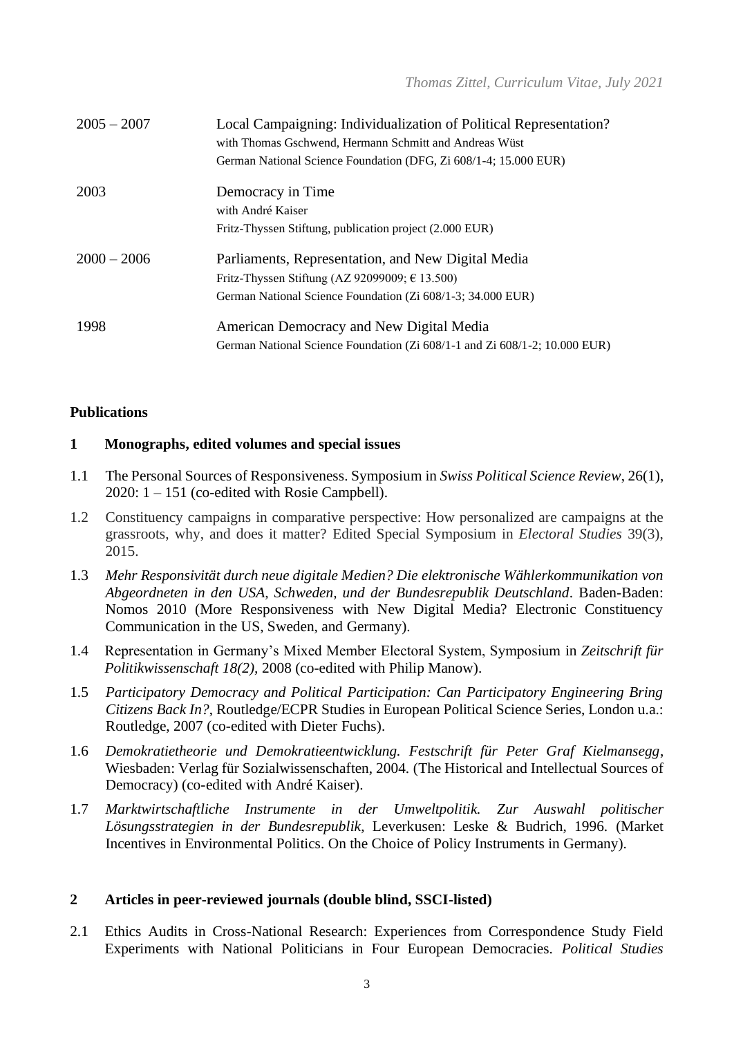| $2005 - 2007$ | Local Campaigning: Individualization of Political Representation?<br>with Thomas Gschwend, Hermann Schmitt and Andreas Wüst<br>German National Science Foundation (DFG, Zi 608/1-4; 15.000 EUR) |
|---------------|-------------------------------------------------------------------------------------------------------------------------------------------------------------------------------------------------|
| 2003          | Democracy in Time<br>with André Kaiser<br>Fritz-Thyssen Stiftung, publication project (2.000 EUR)                                                                                               |
| $2000 - 2006$ | Parliaments, Representation, and New Digital Media<br>Fritz-Thyssen Stiftung (AZ 92099009; $\in$ 13.500)<br>German National Science Foundation (Zi 608/1-3; 34.000 EUR)                         |
| 1998          | American Democracy and New Digital Media<br>German National Science Foundation (Zi 608/1-1 and Zi 608/1-2; 10.000 EUR)                                                                          |

# **Publications**

# **1 Monographs, edited volumes and special issues**

- 1.1 The Personal Sources of Responsiveness. Symposium in *Swiss Political Science Review*, 26(1), 2020: 1 – 151 (co-edited with Rosie Campbell).
- 1.2 Constituency campaigns in comparative perspective: How personalized are campaigns at the grassroots, why, and does it matter? Edited Special Symposium in *Electoral Studies* 39(3), 2015.
- 1.3 *Mehr Responsivität durch neue digitale Medien? Die elektronische Wählerkommunikation von Abgeordneten in den USA, Schweden, und der Bundesrepublik Deutschland*. Baden-Baden: Nomos 2010 (More Responsiveness with New Digital Media? Electronic Constituency Communication in the US, Sweden, and Germany).
- 1.4 Representation in Germany's Mixed Member Electoral System, Symposium in *Zeitschrift für Politikwissenschaft 18(2),* 2008 (co-edited with Philip Manow).
- 1.5 *Participatory Democracy and Political Participation: Can Participatory Engineering Bring Citizens Back In?*, Routledge/ECPR Studies in European Political Science Series, London u.a.: Routledge, 2007 (co-edited with Dieter Fuchs).
- 1.6 *Demokratietheorie und Demokratieentwicklung. Festschrift für Peter Graf Kielmansegg*, Wiesbaden: Verlag für Sozialwissenschaften, 2004. (The Historical and Intellectual Sources of Democracy) (co-edited with André Kaiser).
- 1.7 *Marktwirtschaftliche Instrumente in der Umweltpolitik. Zur Auswahl politischer Lösungsstrategien in der Bundesrepublik*, Leverkusen: Leske & Budrich, 1996. (Market Incentives in Environmental Politics. On the Choice of Policy Instruments in Germany).

## **2 Articles in peer-reviewed journals (double blind, SSCI-listed)**

2.1 Ethics Audits in Cross-National Research: Experiences from Correspondence Study Field Experiments with National Politicians in Four European Democracies. *Political Studies*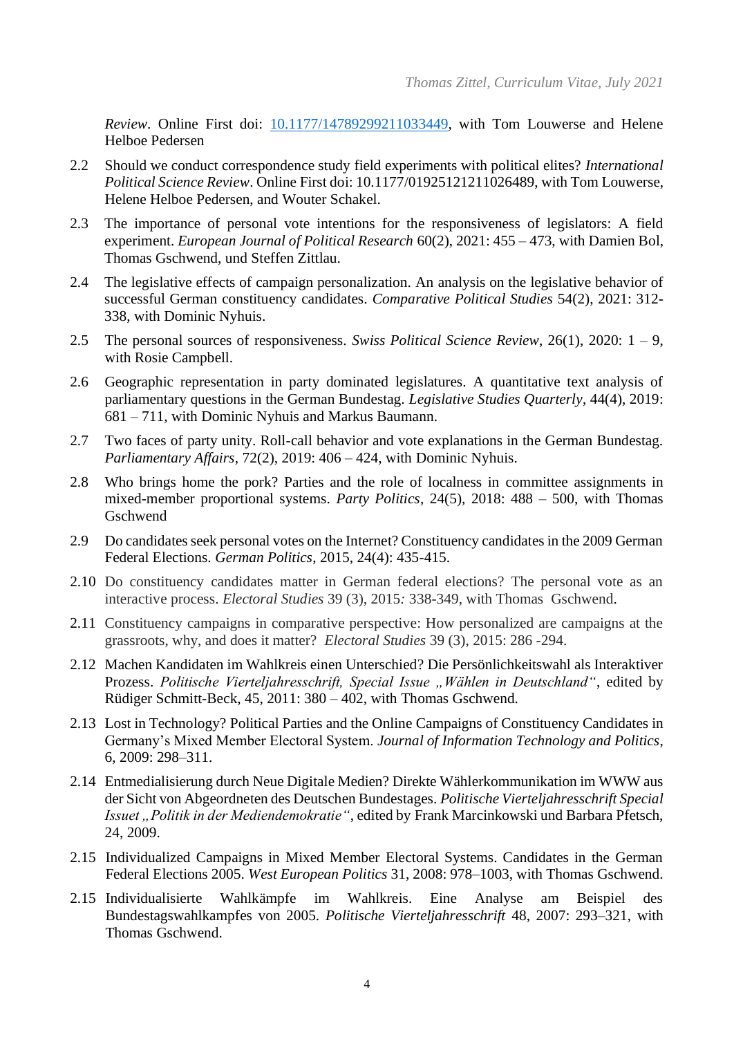*Review*. Online First doi: [10.1177/14789299211033449,](https://doi.org/10.1177%2F14789299211033449) with Tom Louwerse and Helene Helboe Pedersen

- 2.2 Should we conduct correspondence study field experiments with political elites? *International Political Science Review*. Online First doi: 10.1177/01925121211026489, with Tom Louwerse, Helene Helboe Pedersen, and Wouter Schakel.
- 2.3 The importance of personal vote intentions for the responsiveness of legislators: A field experiment. *European Journal of Political Research* 60(2), 2021: 455 – 473, with Damien Bol, Thomas Gschwend, und Steffen Zittlau.
- 2.4 The legislative effects of campaign personalization. An analysis on the legislative behavior of successful German constituency candidates. *Comparative Political Studies* 54(2), 2021: 312- 338, with Dominic Nyhuis.
- 2.5 The personal sources of responsiveness. *Swiss Political Science Review*, 26(1), 2020: 1 9, with Rosie Campbell.
- 2.6 Geographic representation in party dominated legislatures. A quantitative text analysis of parliamentary questions in the German Bundestag. *Legislative Studies Quarterly*, 44(4), 2019: 681 – 711, with Dominic Nyhuis and Markus Baumann.
- 2.7 Two faces of party unity. Roll-call behavior and vote explanations in the German Bundestag. *Parliamentary Affairs*, 72(2), 2019: 406 – 424, with Dominic Nyhuis.
- 2.8 Who brings home the pork? Parties and the role of localness in committee assignments in mixed-member proportional systems. *Party Politics*, 24(5), 2018: 488 – 500, with Thomas **Gschwend**
- 2.9 Do candidates seek personal votes on the Internet? Constituency candidates in the 2009 German Federal Elections. *German Politics*, 2015, 24(4): 435-415.
- 2.10 Do constituency candidates matter in German federal elections? The personal vote as an interactive process. *Electoral Studies* 39 (3), 2015*:* 338-349, with Thomas Gschwend.
- 2.11 Constituency campaigns in comparative perspective: How personalized are campaigns at the grassroots, why, and does it matter? *Electoral Studies* 39 (3), 2015: 286 -294.
- 2.12 Machen Kandidaten im Wahlkreis einen Unterschied? Die Persönlichkeitswahl als Interaktiver Prozess. Politische Vierteljahresschrift, Special Issue "Wählen in Deutschland", edited by Rüdiger Schmitt-Beck, 45, 2011: 380 – 402, with Thomas Gschwend.
- 2.13 Lost in Technology? Political Parties and the Online Campaigns of Constituency Candidates in Germany's Mixed Member Electoral System. *Journal of Information Technology and Politics*, 6, 2009: 298–311.
- 2.14 Entmedialisierung durch Neue Digitale Medien? Direkte Wählerkommunikation im WWW aus der Sicht von Abgeordneten des Deutschen Bundestages. *Politische Vierteljahresschrift Special Issuet "Politik in der Mediendemokratie"*, edited by Frank Marcinkowski und Barbara Pfetsch, 24, 2009.
- 2.15 Individualized Campaigns in Mixed Member Electoral Systems. Candidates in the German Federal Elections 2005. *West European Politics* 31, 2008: 978–1003, with Thomas Gschwend.
- 2.15 Individualisierte Wahlkämpfe im Wahlkreis. Eine Analyse am Beispiel des Bundestagswahlkampfes von 2005. *Politische Vierteljahresschrift* 48, 2007: 293–321, with Thomas Gschwend.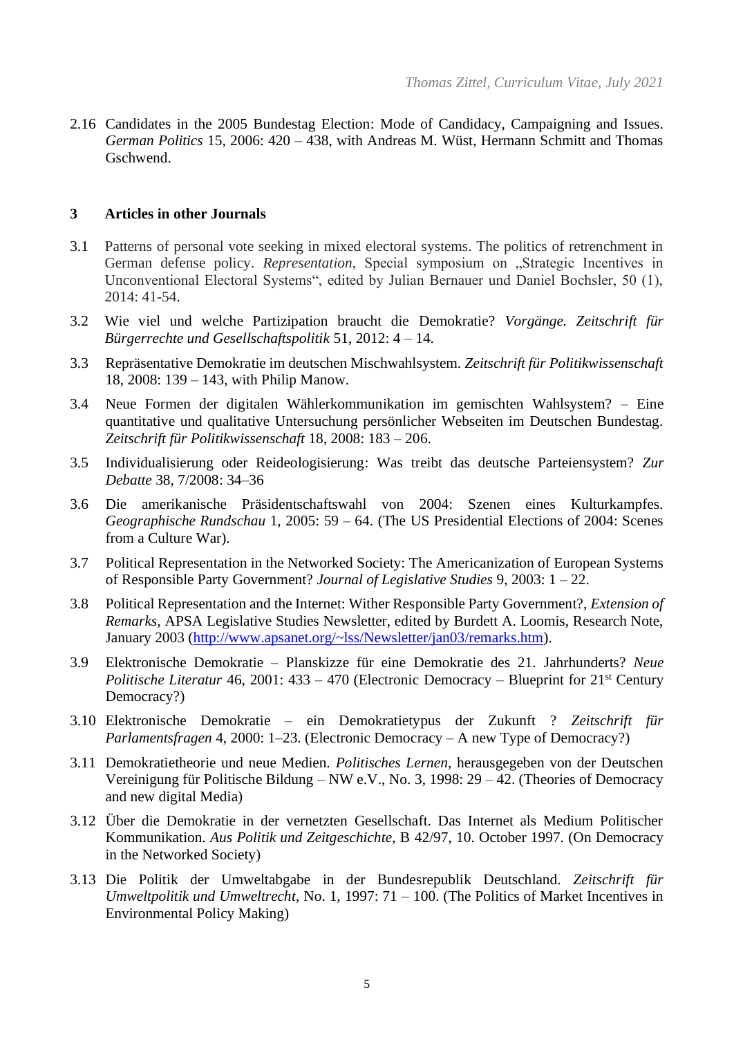2.16 Candidates in the 2005 Bundestag Election: Mode of Candidacy, Campaigning and Issues. *German Politics* 15, 2006: 420 – 438, with Andreas M. Wüst, Hermann Schmitt and Thomas Gschwend.

## **3 Articles in other Journals**

- 3.1 Patterns of personal vote seeking in mixed electoral systems. The politics of retrenchment in German defense policy. *Representation*, Special symposium on "Strategic Incentives in Unconventional Electoral Systems", edited by Julian Bernauer und Daniel Bochsler, 50 (1), 2014: 41-54.
- 3.2 Wie viel und welche Partizipation braucht die Demokratie? *Vorgänge. Zeitschrift für Bürgerrechte und Gesellschaftspolitik* 51, 2012: 4 – 14.
- 3.3 Repräsentative Demokratie im deutschen Mischwahlsystem. *Zeitschrift für Politikwissenschaft* 18, 2008: 139 – 143, with Philip Manow.
- 3.4 Neue Formen der digitalen Wählerkommunikation im gemischten Wahlsystem? Eine quantitative und qualitative Untersuchung persönlicher Webseiten im Deutschen Bundestag. *Zeitschrift für Politikwissenschaft* 18, 2008: 183 – 206.
- 3.5 Individualisierung oder Reideologisierung: Was treibt das deutsche Parteiensystem? *Zur Debatte* 38, 7/2008: 34–36
- 3.6 Die amerikanische Präsidentschaftswahl von 2004: Szenen eines Kulturkampfes. *Geographische Rundschau* 1, 2005: 59 – 64. (The US Presidential Elections of 2004: Scenes from a Culture War).
- 3.7 Political Representation in the Networked Society: The Americanization of European Systems of Responsible Party Government? *Journal of Legislative Studies* 9, 2003: 1 – 22.
- 3.8 Political Representation and the Internet: Wither Responsible Party Government?, *Extension of Remarks*, APSA Legislative Studies Newsletter, edited by Burdett A. Loomis, Research Note, January 2003 [\(http://www.apsanet.org/~lss/Newsletter/jan03/remarks.htm\)](http://www.apsanet.org/~lss/Newsletter/jan03/remarks.htm).
- 3.9 Elektronische Demokratie Planskizze für eine Demokratie des 21. Jahrhunderts? *Neue Politische Literatur* 46, 2001: 433 – 470 (Electronic Democracy – Blueprint for 21<sup>st</sup> Century Democracy?)
- 3.10 Elektronische Demokratie ein Demokratietypus der Zukunft ? *Zeitschrift für Parlamentsfragen* 4, 2000: 1–23. (Electronic Democracy – A new Type of Democracy?)
- 3.11 Demokratietheorie und neue Medien. *Politisches Lernen*, herausgegeben von der Deutschen Vereinigung für Politische Bildung – NW e.V., No. 3, 1998: 29 – 42. (Theories of Democracy and new digital Media)
- 3.12 Über die Demokratie in der vernetzten Gesellschaft. Das Internet als Medium Politischer Kommunikation. *Aus Politik und Zeitgeschichte*, B 42/97, 10. October 1997. (On Democracy in the Networked Society)
- 3.13 Die Politik der Umweltabgabe in der Bundesrepublik Deutschland. *Zeitschrift für Umweltpolitik und Umweltrecht*, No. 1, 1997: 71 – 100. (The Politics of Market Incentives in Environmental Policy Making)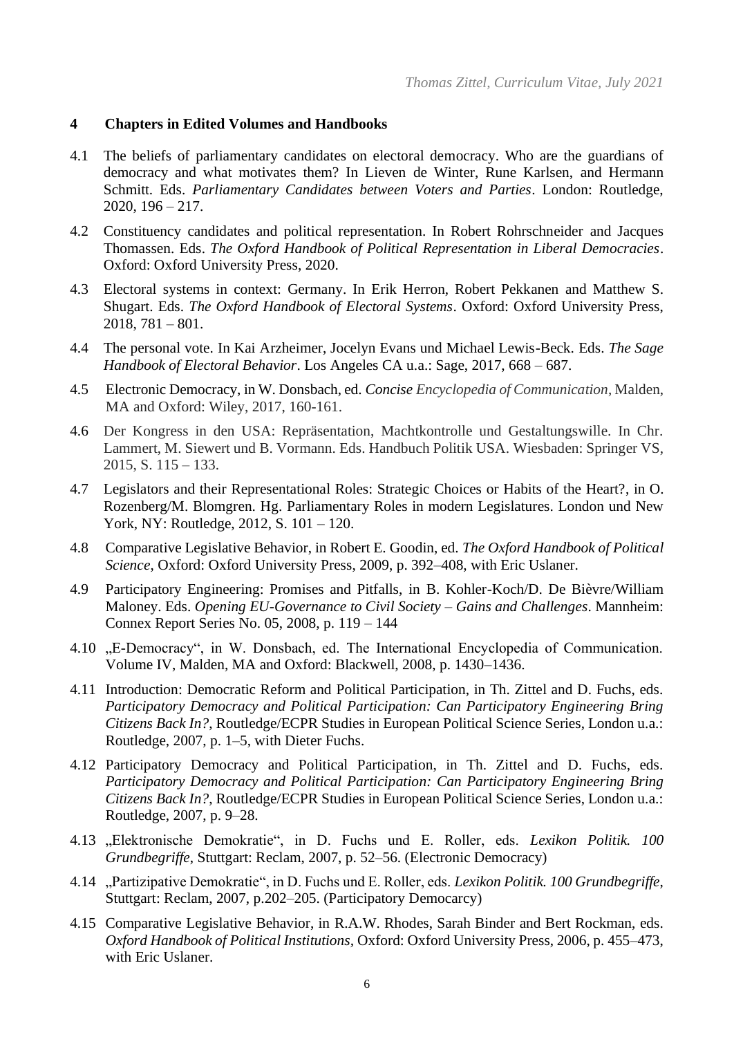### **4 Chapters in Edited Volumes and Handbooks**

- 4.1 The beliefs of parliamentary candidates on electoral democracy. Who are the guardians of democracy and what motivates them? In Lieven de Winter, Rune Karlsen, and Hermann Schmitt. Eds. *Parliamentary Candidates between Voters and Parties*. London: Routledge, 2020, 196 – 217.
- 4.2 Constituency candidates and political representation. In Robert Rohrschneider and Jacques Thomassen. Eds. *The Oxford Handbook of Political Representation in Liberal Democracies*. Oxford: Oxford University Press, 2020.
- 4.3 Electoral systems in context: Germany. In Erik Herron, Robert Pekkanen and Matthew S. Shugart. Eds. *The Oxford Handbook of Electoral Systems*. Oxford: Oxford University Press, 2018, 781 – 801.
- 4.4 The personal vote. In Kai Arzheimer, Jocelyn Evans und Michael Lewis-Beck. Eds. *The Sage Handbook of Electoral Behavior*. Los Angeles CA u.a.: Sage, 2017, 668 – 687.
- 4.5 Electronic Democracy, in W. Donsbach, ed. *Concise Encyclopedia of Communication*, Malden, MA and Oxford: Wiley, 2017, 160-161.
- 4.6 Der Kongress in den USA: Repräsentation, Machtkontrolle und Gestaltungswille. In Chr. Lammert, M. Siewert und B. Vormann. Eds. Handbuch Politik USA. Wiesbaden: Springer VS, 2015, S. 115 – 133.
- 4.7 Legislators and their Representational Roles: Strategic Choices or Habits of the Heart?, in O. Rozenberg/M. Blomgren. Hg. Parliamentary Roles in modern Legislatures. London und New York, NY: Routledge, 2012, S. 101 – 120.
- 4.8 Comparative Legislative Behavior, in Robert E. Goodin, ed. *The Oxford Handbook of Political Science*, Oxford: Oxford University Press, 2009, p. 392–408, with Eric Uslaner.
- 4.9 Participatory Engineering: Promises and Pitfalls, in B. Kohler-Koch/D. De Bièvre/William Maloney. Eds. *Opening EU-Governance to Civil Society – Gains and Challenges*. Mannheim: Connex Report Series No. 05, 2008, p. 119 – 144
- 4.10 ".E-Democracy", in W. Donsbach, ed. The International Encyclopedia of Communication. Volume IV, Malden, MA and Oxford: Blackwell, 2008, p. 1430–1436.
- 4.11 Introduction: Democratic Reform and Political Participation, in Th. Zittel and D. Fuchs, eds. *Participatory Democracy and Political Participation: Can Participatory Engineering Bring Citizens Back In?*, Routledge/ECPR Studies in European Political Science Series, London u.a.: Routledge, 2007, p. 1–5, with Dieter Fuchs.
- 4.12 Participatory Democracy and Political Participation, in Th. Zittel and D. Fuchs, eds. *Participatory Democracy and Political Participation: Can Participatory Engineering Bring Citizens Back In?*, Routledge/ECPR Studies in European Political Science Series, London u.a.: Routledge, 2007, p. 9–28.
- 4.13 "Elektronische Demokratie", in D. Fuchs und E. Roller, eds. *Lexikon Politik. 100 Grundbegriffe*, Stuttgart: Reclam, 2007, p. 52–56. (Electronic Democracy)
- 4.14 "Partizipative Demokratie", in D. Fuchs und E. Roller, eds. *Lexikon Politik. 100 Grundbegriffe*, Stuttgart: Reclam, 2007, p.202–205. (Participatory Democarcy)
- 4.15 Comparative Legislative Behavior, in R.A.W. Rhodes, Sarah Binder and Bert Rockman, eds. *Oxford Handbook of Political Institutions,* Oxford: Oxford University Press, 2006, p. 455–473, with Eric Uslaner.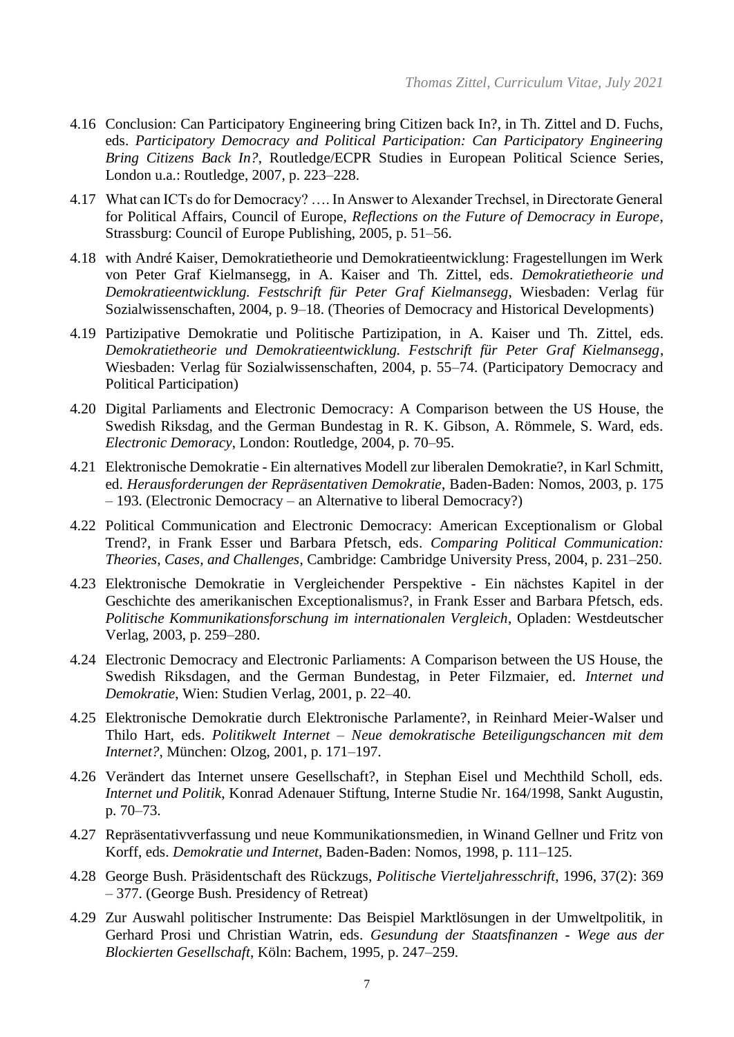- 4.16 Conclusion: Can Participatory Engineering bring Citizen back In?, in Th. Zittel and D. Fuchs, eds. *Participatory Democracy and Political Participation: Can Participatory Engineering Bring Citizens Back In?*, Routledge/ECPR Studies in European Political Science Series, London u.a.: Routledge, 2007, p. 223–228.
- 4.17 What can ICTs do for Democracy? …. In Answer to Alexander Trechsel, in Directorate General for Political Affairs, Council of Europe, *Reflections on the Future of Democracy in Europe*, Strassburg: Council of Europe Publishing, 2005, p. 51–56.
- 4.18 with André Kaiser, Demokratietheorie und Demokratieentwicklung: Fragestellungen im Werk von Peter Graf Kielmansegg, in A. Kaiser and Th. Zittel, eds. *Demokratietheorie und Demokratieentwicklung. Festschrift für Peter Graf Kielmansegg*, Wiesbaden: Verlag für Sozialwissenschaften, 2004, p. 9–18. (Theories of Democracy and Historical Developments)
- 4.19 Partizipative Demokratie und Politische Partizipation, in A. Kaiser und Th. Zittel, eds. *Demokratietheorie und Demokratieentwicklung. Festschrift für Peter Graf Kielmansegg*, Wiesbaden: Verlag für Sozialwissenschaften, 2004, p. 55–74. (Participatory Democracy and Political Participation)
- 4.20 Digital Parliaments and Electronic Democracy: A Comparison between the US House, the Swedish Riksdag, and the German Bundestag in R. K. Gibson, A. Römmele, S. Ward, eds. *Electronic Demoracy*, London: Routledge, 2004, p. 70–95.
- 4.21 Elektronische Demokratie Ein alternatives Modell zur liberalen Demokratie?, in Karl Schmitt, ed. *Herausforderungen der Repräsentativen Demokratie*, Baden-Baden: Nomos, 2003, p. 175 – 193. (Electronic Democracy – an Alternative to liberal Democracy?)
- 4.22 Political Communication and Electronic Democracy: American Exceptionalism or Global Trend?, in Frank Esser und Barbara Pfetsch, eds. *Comparing Political Communication: Theories, Cases, and Challenges*, Cambridge: Cambridge University Press, 2004, p. 231–250.
- 4.23 Elektronische Demokratie in Vergleichender Perspektive Ein nächstes Kapitel in der Geschichte des amerikanischen Exceptionalismus?, in Frank Esser and Barbara Pfetsch, eds. *Politische Kommunikationsforschung im internationalen Vergleich*, Opladen: Westdeutscher Verlag, 2003, p. 259–280.
- 4.24 Electronic Democracy and Electronic Parliaments: A Comparison between the US House, the Swedish Riksdagen, and the German Bundestag, in Peter Filzmaier, ed. *Internet und Demokratie*, Wien: Studien Verlag, 2001, p. 22–40.
- 4.25 Elektronische Demokratie durch Elektronische Parlamente?, in Reinhard Meier-Walser und Thilo Hart, eds. *Politikwelt Internet – Neue demokratische Beteiligungschancen mit dem Internet?*, München: Olzog, 2001, p. 171–197.
- 4.26 Verändert das Internet unsere Gesellschaft?, in Stephan Eisel und Mechthild Scholl, eds. *Internet und Politik*, Konrad Adenauer Stiftung, Interne Studie Nr. 164/1998, Sankt Augustin, p. 70–73.
- 4.27 Repräsentativverfassung und neue Kommunikationsmedien, in Winand Gellner und Fritz von Korff, eds. *Demokratie und Internet*, Baden-Baden: Nomos, 1998, p. 111–125.
- 4.28 George Bush. Präsidentschaft des Rückzugs, *Politische Vierteljahresschrift*, 1996, 37(2): 369 – 377. (George Bush. Presidency of Retreat)
- 4.29 Zur Auswahl politischer Instrumente: Das Beispiel Marktlösungen in der Umweltpolitik, in Gerhard Prosi und Christian Watrin, eds. *Gesundung der Staatsfinanzen - Wege aus der Blockierten Gesellschaft*, Köln: Bachem, 1995, p. 247–259.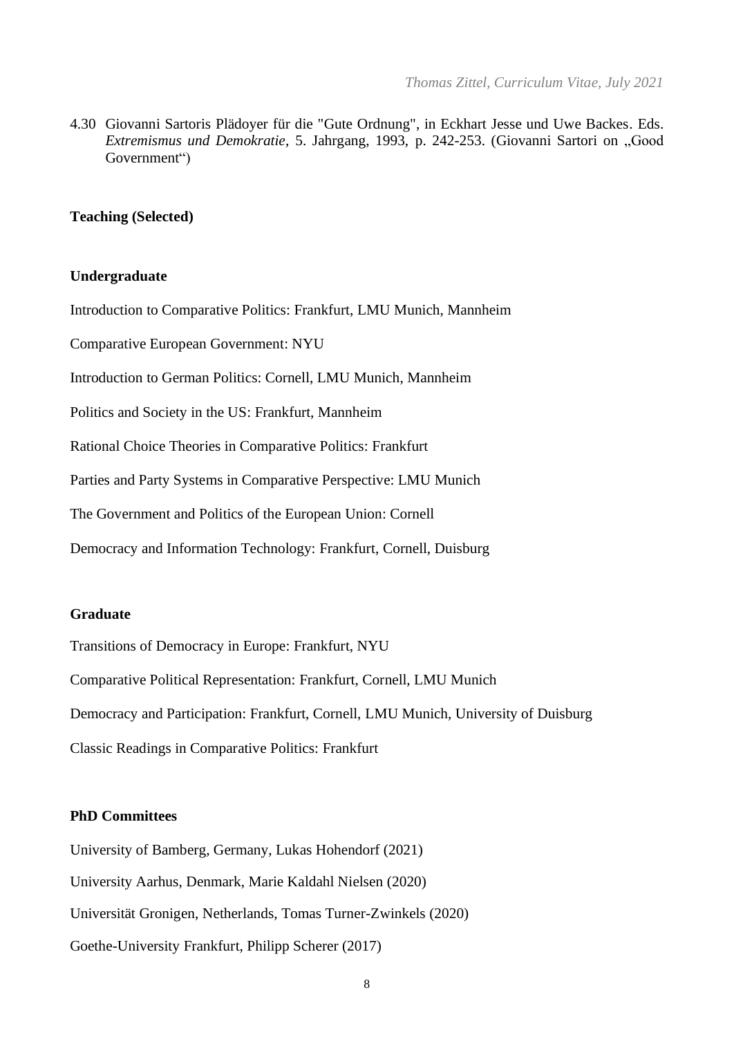4.30 Giovanni Sartoris Plädoyer für die "Gute Ordnung", in Eckhart Jesse und Uwe Backes. Eds. *Extremismus und Demokratie*, 5. Jahrgang, 1993, p. 242-253. (Giovanni Sartori on "Good Government")

#### **Teaching (Selected)**

#### **Undergraduate**

Introduction to Comparative Politics: Frankfurt, LMU Munich, Mannheim Comparative European Government: NYU Introduction to German Politics: Cornell, LMU Munich, Mannheim Politics and Society in the US: Frankfurt, Mannheim Rational Choice Theories in Comparative Politics: Frankfurt Parties and Party Systems in Comparative Perspective: LMU Munich The Government and Politics of the European Union: Cornell Democracy and Information Technology: Frankfurt, Cornell, Duisburg

## **Graduate**

Transitions of Democracy in Europe: Frankfurt, NYU Comparative Political Representation: Frankfurt, Cornell, LMU Munich Democracy and Participation: Frankfurt, Cornell, LMU Munich, University of Duisburg Classic Readings in Comparative Politics: Frankfurt

#### **PhD Committees**

University of Bamberg, Germany, Lukas Hohendorf (2021) University Aarhus, Denmark, Marie Kaldahl Nielsen (2020) Universität Gronigen, Netherlands, Tomas Turner-Zwinkels (2020) Goethe-University Frankfurt, Philipp Scherer (2017)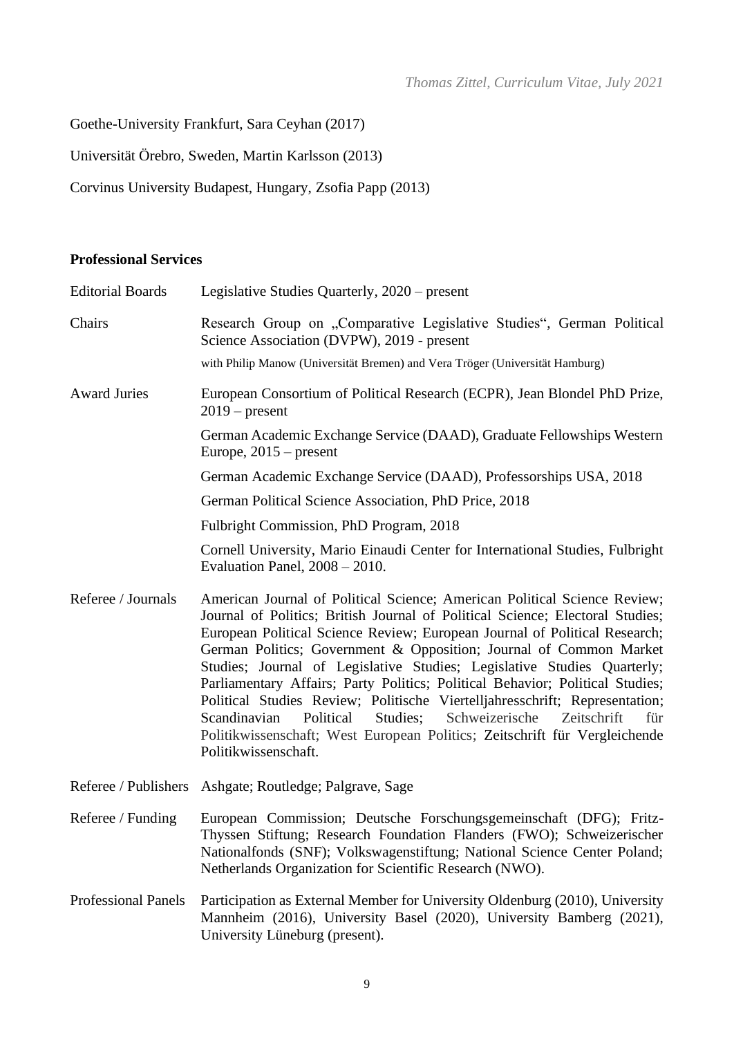Goethe-University Frankfurt, Sara Ceyhan (2017)

Universität Örebro, Sweden, Martin Karlsson (2013)

Corvinus University Budapest, Hungary, Zsofia Papp (2013)

### **Professional Services**

| <b>Editorial Boards</b> | Legislative Studies Quarterly, 2020 – present                                                                                                                                                                                                                                                                                                                                                                                                                                                                                                                                                                                                                                                                                                    |
|-------------------------|--------------------------------------------------------------------------------------------------------------------------------------------------------------------------------------------------------------------------------------------------------------------------------------------------------------------------------------------------------------------------------------------------------------------------------------------------------------------------------------------------------------------------------------------------------------------------------------------------------------------------------------------------------------------------------------------------------------------------------------------------|
| Chairs                  | Research Group on "Comparative Legislative Studies", German Political<br>Science Association (DVPW), 2019 - present                                                                                                                                                                                                                                                                                                                                                                                                                                                                                                                                                                                                                              |
|                         | with Philip Manow (Universität Bremen) and Vera Tröger (Universität Hamburg)                                                                                                                                                                                                                                                                                                                                                                                                                                                                                                                                                                                                                                                                     |
| <b>Award Juries</b>     | European Consortium of Political Research (ECPR), Jean Blondel PhD Prize,<br>$2019$ – present                                                                                                                                                                                                                                                                                                                                                                                                                                                                                                                                                                                                                                                    |
|                         | German Academic Exchange Service (DAAD), Graduate Fellowships Western<br>Europe, $2015$ – present                                                                                                                                                                                                                                                                                                                                                                                                                                                                                                                                                                                                                                                |
|                         | German Academic Exchange Service (DAAD), Professorships USA, 2018                                                                                                                                                                                                                                                                                                                                                                                                                                                                                                                                                                                                                                                                                |
|                         | German Political Science Association, PhD Price, 2018                                                                                                                                                                                                                                                                                                                                                                                                                                                                                                                                                                                                                                                                                            |
|                         | Fulbright Commission, PhD Program, 2018                                                                                                                                                                                                                                                                                                                                                                                                                                                                                                                                                                                                                                                                                                          |
|                         | Cornell University, Mario Einaudi Center for International Studies, Fulbright<br>Evaluation Panel, $2008 - 2010$ .                                                                                                                                                                                                                                                                                                                                                                                                                                                                                                                                                                                                                               |
| Referee / Journals      | American Journal of Political Science; American Political Science Review;<br>Journal of Politics; British Journal of Political Science; Electoral Studies;<br>European Political Science Review; European Journal of Political Research;<br>German Politics; Government & Opposition; Journal of Common Market<br>Studies; Journal of Legislative Studies; Legislative Studies Quarterly;<br>Parliamentary Affairs; Party Politics; Political Behavior; Political Studies;<br>Political Studies Review; Politische Viertelljahresschrift; Representation;<br>Scandinavian<br>Political<br>Studies;<br>Schweizerische<br>Zeitschrift<br>für<br>Politikwissenschaft; West European Politics; Zeitschrift für Vergleichende<br>Politikwissenschaft. |
|                         | Referee / Publishers Ashgate; Routledge; Palgrave, Sage                                                                                                                                                                                                                                                                                                                                                                                                                                                                                                                                                                                                                                                                                          |
| Referee / Funding       | European Commission; Deutsche Forschungsgemeinschaft (DFG); Fritz-<br>Thyssen Stiftung; Research Foundation Flanders (FWO); Schweizerischer<br>Nationalfonds (SNF); Volkswagenstiftung; National Science Center Poland;<br>Netherlands Organization for Scientific Research (NWO).                                                                                                                                                                                                                                                                                                                                                                                                                                                               |
|                         | Professional Panels – Particination as External Member for University Oldenburg (2010) University                                                                                                                                                                                                                                                                                                                                                                                                                                                                                                                                                                                                                                                |

Professional Panels Participation as External Member for University Oldenburg (2010), University Mannheim (2016), University Basel (2020), University Bamberg (2021), University Lüneburg (present).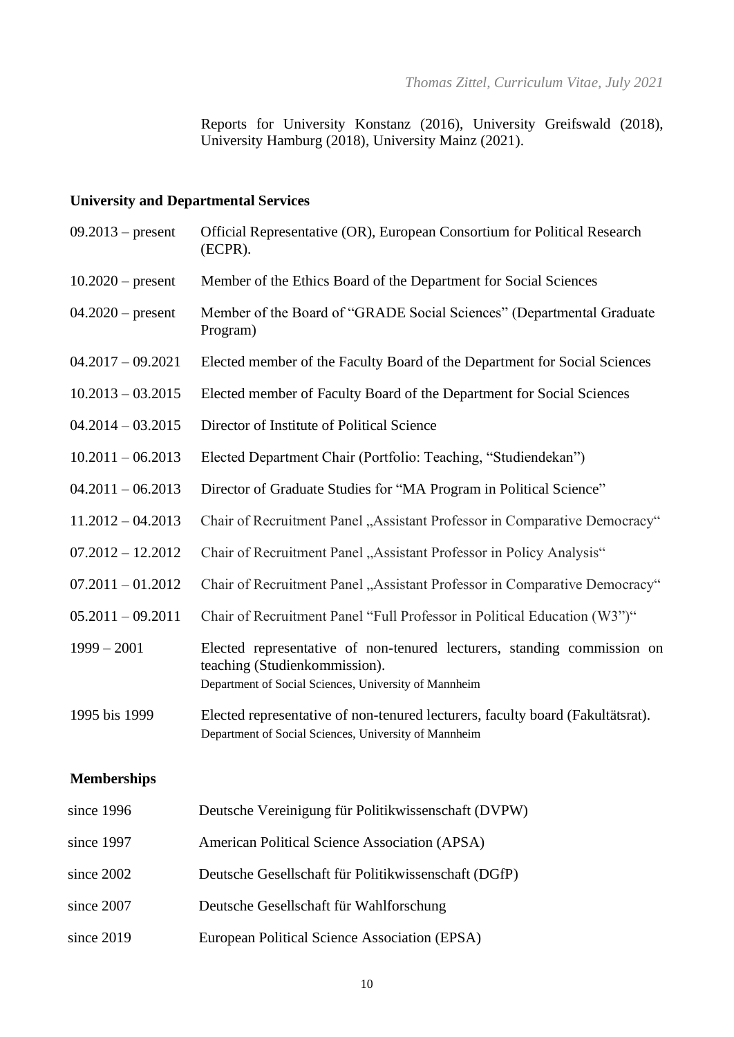Reports for University Konstanz (2016), University Greifswald (2018), University Hamburg (2018), University Mainz (2021).

# **University and Departmental Services**

| $09.2013 - present$ | Official Representative (OR), European Consortium for Political Research<br>(ECPR).                                                                               |
|---------------------|-------------------------------------------------------------------------------------------------------------------------------------------------------------------|
| $10.2020$ – present | Member of the Ethics Board of the Department for Social Sciences                                                                                                  |
| $04.2020 - present$ | Member of the Board of "GRADE Social Sciences" (Departmental Graduate<br>Program)                                                                                 |
| $04.2017 - 09.2021$ | Elected member of the Faculty Board of the Department for Social Sciences                                                                                         |
| $10.2013 - 03.2015$ | Elected member of Faculty Board of the Department for Social Sciences                                                                                             |
| $04.2014 - 03.2015$ | Director of Institute of Political Science                                                                                                                        |
| $10.2011 - 06.2013$ | Elected Department Chair (Portfolio: Teaching, "Studiendekan")                                                                                                    |
| $04.2011 - 06.2013$ | Director of Graduate Studies for "MA Program in Political Science"                                                                                                |
| $11.2012 - 04.2013$ | Chair of Recruitment Panel "Assistant Professor in Comparative Democracy"                                                                                         |
| $07.2012 - 12.2012$ | Chair of Recruitment Panel "Assistant Professor in Policy Analysis"                                                                                               |
| $07.2011 - 01.2012$ | Chair of Recruitment Panel "Assistant Professor in Comparative Democracy"                                                                                         |
| $05.2011 - 09.2011$ | Chair of Recruitment Panel "Full Professor in Political Education (W3")"                                                                                          |
| $1999 - 2001$       | Elected representative of non-tenured lecturers, standing commission on<br>teaching (Studienkommission).<br>Department of Social Sciences, University of Mannheim |
| 1995 bis 1999       | Elected representative of non-tenured lecturers, faculty board (Fakultätsrat).<br>Department of Social Sciences, University of Mannheim                           |
| <b>Memberships</b>  |                                                                                                                                                                   |
| $sinca$ 1006        | Deutsche Vereinigung für Politikwissenschaft (DVDW)                                                                                                               |

| since 1996 | Deutsche Vereinigung für Politikwissenschaft (DVPW)  |
|------------|------------------------------------------------------|
| since 1997 | American Political Science Association (APSA)        |
| since 2002 | Deutsche Gesellschaft für Politikwissenschaft (DGfP) |
| since 2007 | Deutsche Gesellschaft für Wahlforschung              |
| since 2019 | European Political Science Association (EPSA)        |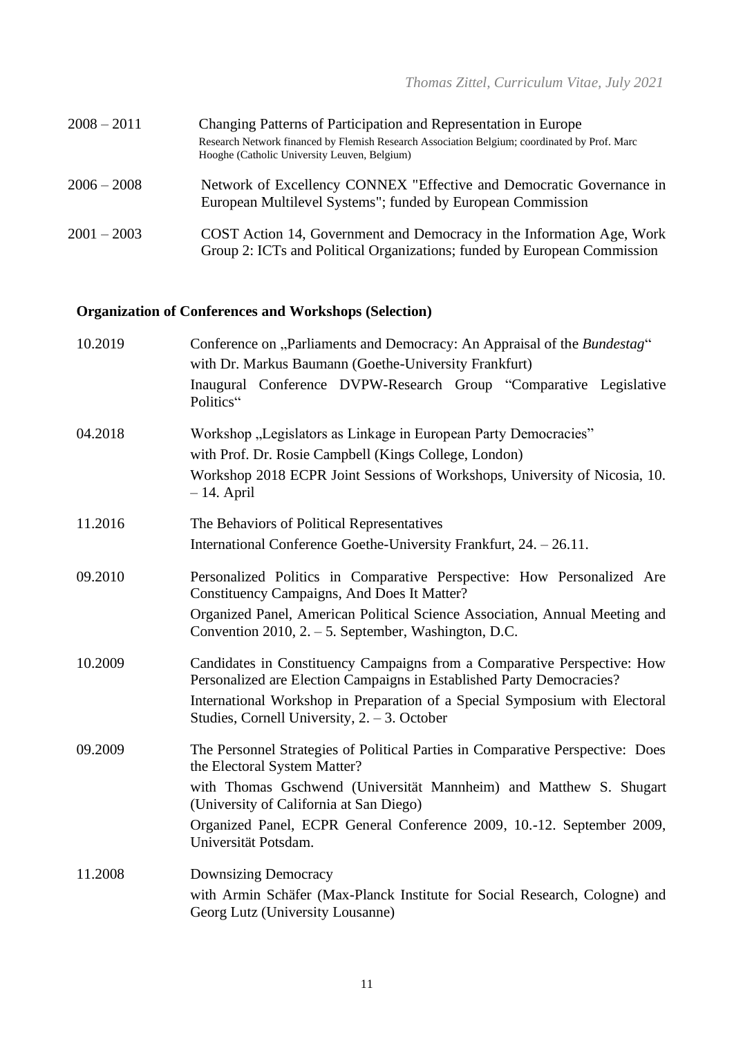| $2008 - 2011$ | Changing Patterns of Participation and Representation in Europe<br>Research Network financed by Flemish Research Association Belgium; coordinated by Prof. Marc<br>Hooghe (Catholic University Leuven, Belgium) |
|---------------|-----------------------------------------------------------------------------------------------------------------------------------------------------------------------------------------------------------------|
| $2006 - 2008$ | Network of Excellency CONNEX "Effective and Democratic Governance in<br>European Multilevel Systems"; funded by European Commission                                                                             |
| $2001 - 2003$ | COST Action 14, Government and Democracy in the Information Age, Work<br>Group 2: ICTs and Political Organizations; funded by European Commission                                                               |

# **Organization of Conferences and Workshops (Selection)**

| 10.2019 | Conference on "Parliaments and Democracy: An Appraisal of the Bundestag"<br>with Dr. Markus Baumann (Goethe-University Frankfurt)                                                                      |
|---------|--------------------------------------------------------------------------------------------------------------------------------------------------------------------------------------------------------|
|         | Inaugural Conference DVPW-Research Group "Comparative Legislative<br>Politics"                                                                                                                         |
| 04.2018 | Workshop "Legislators as Linkage in European Party Democracies"<br>with Prof. Dr. Rosie Campbell (Kings College, London)<br>Workshop 2018 ECPR Joint Sessions of Workshops, University of Nicosia, 10. |
|         | $-14.$ April                                                                                                                                                                                           |
| 11.2016 | The Behaviors of Political Representatives                                                                                                                                                             |
|         | International Conference Goethe-University Frankfurt, 24. - 26.11.                                                                                                                                     |
| 09.2010 | Personalized Politics in Comparative Perspective: How Personalized Are<br>Constituency Campaigns, And Does It Matter?                                                                                  |
|         | Organized Panel, American Political Science Association, Annual Meeting and<br>Convention 2010, 2. $-5$ . September, Washington, D.C.                                                                  |
| 10.2009 | Candidates in Constituency Campaigns from a Comparative Perspective: How<br>Personalized are Election Campaigns in Established Party Democracies?                                                      |
|         | International Workshop in Preparation of a Special Symposium with Electoral<br>Studies, Cornell University, $2. -3$ . October                                                                          |
| 09.2009 | The Personnel Strategies of Political Parties in Comparative Perspective: Does<br>the Electoral System Matter?                                                                                         |
|         | with Thomas Gschwend (Universität Mannheim) and Matthew S. Shugart<br>(University of California at San Diego)                                                                                          |
|         | Organized Panel, ECPR General Conference 2009, 10.-12. September 2009,<br>Universität Potsdam.                                                                                                         |
| 11.2008 | <b>Downsizing Democracy</b>                                                                                                                                                                            |
|         | with Armin Schäfer (Max-Planck Institute for Social Research, Cologne) and<br>Georg Lutz (University Lousanne)                                                                                         |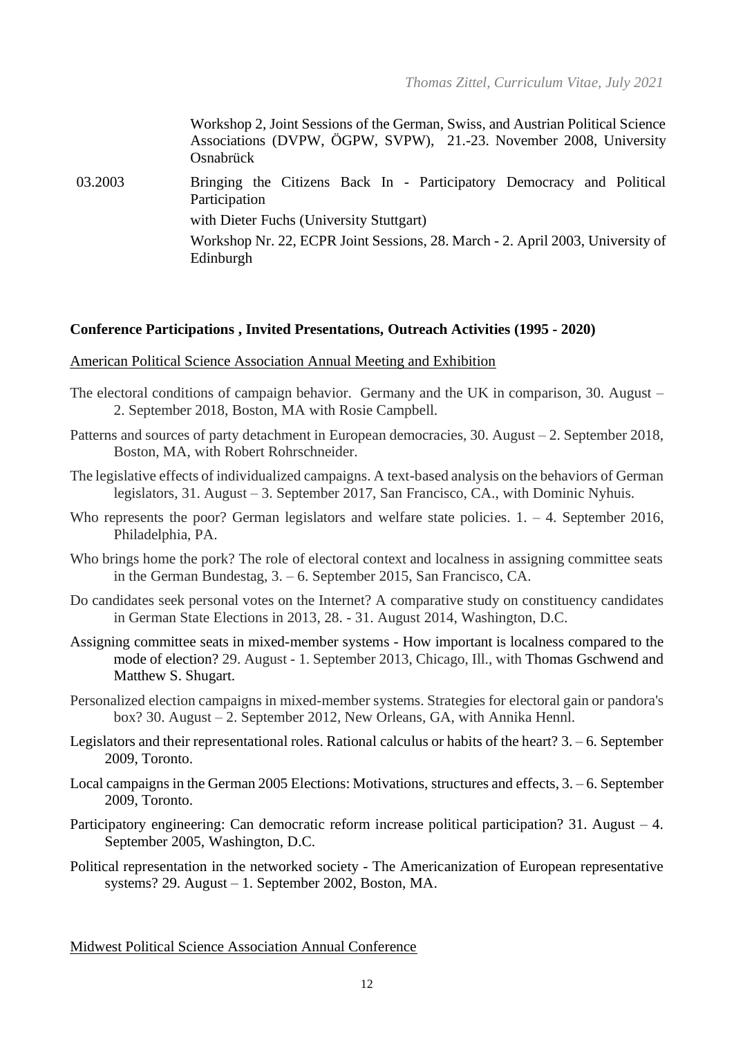Workshop 2, Joint Sessions of the German, Swiss, and Austrian Political Science Associations (DVPW, ÖGPW, SVPW), 21.-23. November 2008, University **Osnabrück** 03.2003 Bringing the Citizens Back In - Participatory Democracy and Political Participation with Dieter Fuchs (University Stuttgart) Workshop Nr. 22, ECPR Joint Sessions, 28. March - 2. April 2003, University of Edinburgh

#### **Conference Participations , Invited Presentations, Outreach Activities (1995 - 2020)**

#### American Political Science Association Annual Meeting and Exhibition

- The electoral conditions of campaign behavior. Germany and the UK in comparison, 30. August 2. September 2018, Boston, MA with Rosie Campbell.
- Patterns and sources of party detachment in European democracies, 30. August 2. September 2018, Boston, MA, with Robert Rohrschneider.
- The legislative effects of individualized campaigns. A text-based analysis on the behaviors of German legislators, 31. August – 3. September 2017, San Francisco, CA., with Dominic Nyhuis.
- Who represents the poor? German legislators and welfare state policies. 1. 4. September 2016, Philadelphia, PA.
- Who brings home the pork? The role of electoral context and localness in assigning committee seats in the German Bundestag, 3. – 6. September 2015, San Francisco, CA.
- Do candidates seek personal votes on the Internet? A comparative study on constituency candidates in German State Elections in 2013, 28. - 31. August 2014, Washington, D.C.
- Assigning committee seats in mixed-member systems How important is localness compared to the mode of election? 29. August - 1. September 2013, Chicago, Ill., with Thomas Gschwend and Matthew S. Shugart.
- Personalized election campaigns in mixed-member systems. Strategies for electoral gain or pandora's box? 30. August – 2. September 2012, New Orleans, GA, with Annika Hennl.
- Legislators and their representational roles. Rational calculus or habits of the heart? 3. 6. September 2009, Toronto.
- Local campaigns in the German 2005 Elections: Motivations, structures and effects, 3. 6. September 2009, Toronto.
- Participatory engineering: Can democratic reform increase political participation? 31. August 4. September 2005, Washington, D.C.
- Political representation in the networked society The Americanization of European representative systems? 29. August – 1. September 2002, Boston, MA.

Midwest Political Science Association Annual Conference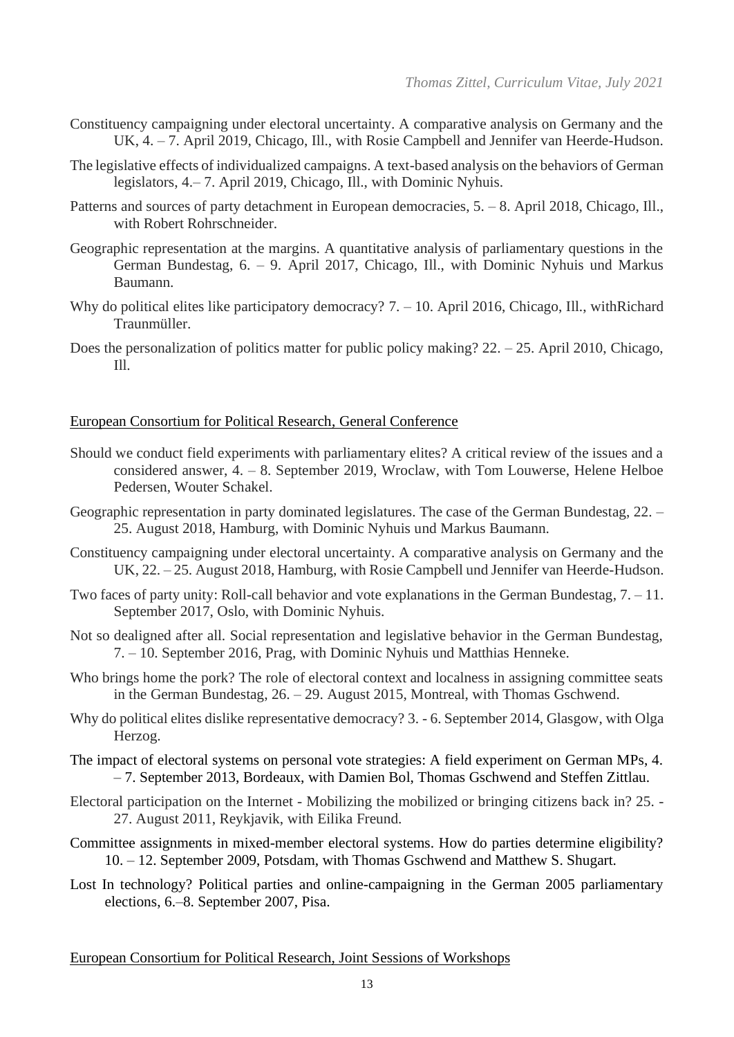- Constituency campaigning under electoral uncertainty. A comparative analysis on Germany and the UK, 4. – 7. April 2019, Chicago, Ill., with Rosie Campbell and Jennifer van Heerde-Hudson.
- The legislative effects of individualized campaigns. A text-based analysis on the behaviors of German legislators, 4.– 7. April 2019, Chicago, Ill., with Dominic Nyhuis.
- Patterns and sources of party detachment in European democracies, 5. 8. April 2018, Chicago, Ill., with Robert Rohrschneider.
- Geographic representation at the margins. A quantitative analysis of parliamentary questions in the German Bundestag, 6. – 9. April 2017, Chicago, Ill., with Dominic Nyhuis und Markus Baumann.
- Why do political elites like participatory democracy? 7. 10. April 2016, Chicago, Ill., withRichard Traunmüller.
- Does the personalization of politics matter for public policy making? 22. 25. April 2010, Chicago, Ill.

#### European Consortium for Political Research, General Conference

- Should we conduct field experiments with parliamentary elites? A critical review of the issues and a considered answer, 4. – 8. September 2019, Wroclaw, with Tom Louwerse, Helene Helboe Pedersen, Wouter Schakel.
- Geographic representation in party dominated legislatures. The case of the German Bundestag, 22. 25. August 2018, Hamburg, with Dominic Nyhuis und Markus Baumann.
- Constituency campaigning under electoral uncertainty. A comparative analysis on Germany and the UK, 22. – 25. August 2018, Hamburg, with Rosie Campbell und Jennifer van Heerde-Hudson.
- Two faces of party unity: Roll-call behavior and vote explanations in the German Bundestag, 7. 11. September 2017, Oslo, with Dominic Nyhuis.
- Not so dealigned after all. Social representation and legislative behavior in the German Bundestag, 7. – 10. September 2016, Prag, with Dominic Nyhuis und Matthias Henneke.
- Who brings home the pork? The role of electoral context and localness in assigning committee seats in the German Bundestag, 26. – 29. August 2015, Montreal, with Thomas Gschwend.
- Why do political elites dislike representative democracy? 3. 6. September 2014, Glasgow, with Olga Herzog.
- The impact of electoral systems on personal vote strategies: A field experiment on German MPs, 4. – 7. September 2013, Bordeaux, with Damien Bol, Thomas Gschwend and Steffen Zittlau.
- Electoral participation on the Internet Mobilizing the mobilized or bringing citizens back in? 25. 27. August 2011, Reykjavik, with Eilika Freund.
- Committee assignments in mixed-member electoral systems. How do parties determine eligibility? 10. – 12. September 2009, Potsdam, with Thomas Gschwend and Matthew S. Shugart.
- Lost In technology? Political parties and online-campaigning in the German 2005 parliamentary elections, 6.–8. September 2007, Pisa.

European Consortium for Political Research, Joint Sessions of Workshops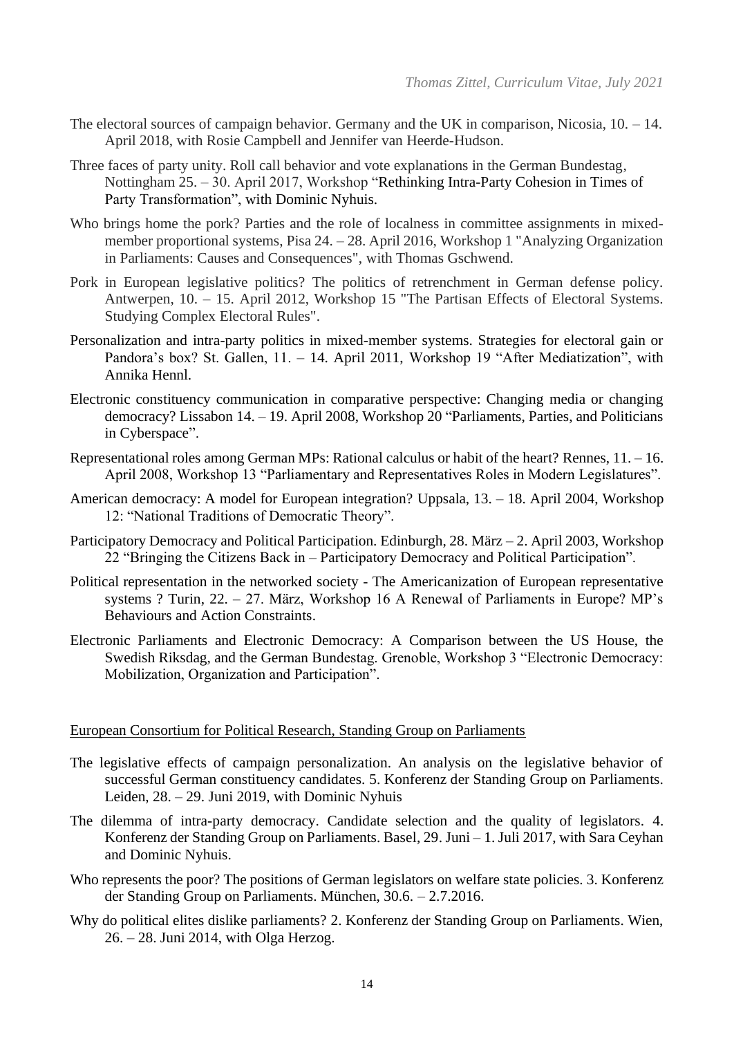- The electoral sources of campaign behavior. Germany and the UK in comparison, Nicosia, 10. 14. April 2018, with Rosie Campbell and Jennifer van Heerde-Hudson.
- Three faces of party unity. Roll call behavior and vote explanations in the German Bundestag, Nottingham 25. – 30. April 2017, Workshop "Rethinking Intra-Party Cohesion in Times of Party Transformation", with Dominic Nyhuis.
- Who brings home the pork? Parties and the role of localness in committee assignments in mixedmember proportional systems, Pisa 24. – 28. April 2016, Workshop 1 "Analyzing Organization in Parliaments: Causes and Consequences", with Thomas Gschwend.
- Pork in European legislative politics? The politics of retrenchment in German defense policy. Antwerpen, 10. – 15. April 2012, Workshop 15 "The Partisan Effects of Electoral Systems. Studying Complex Electoral Rules".
- Personalization and intra-party politics in mixed-member systems. Strategies for electoral gain or Pandora's box? St. Gallen, 11. – 14. April 2011, Workshop 19 "After Mediatization", with Annika Hennl.
- Electronic constituency communication in comparative perspective: Changing media or changing democracy? Lissabon 14. – 19. April 2008, Workshop 20 "Parliaments, Parties, and Politicians in Cyberspace".
- Representational roles among German MPs: Rational calculus or habit of the heart? Rennes, 11. 16. April 2008, Workshop 13 "Parliamentary and Representatives Roles in Modern Legislatures".
- American democracy: A model for European integration? Uppsala, 13. 18. April 2004, Workshop 12: "National Traditions of Democratic Theory".
- Participatory Democracy and Political Participation. Edinburgh, 28. März 2. April 2003, Workshop 22 "Bringing the Citizens Back in – Participatory Democracy and Political Participation".
- Political representation in the networked society The Americanization of European representative systems ? Turin, 22. – 27. März, Workshop 16 A Renewal of Parliaments in Europe? MP's Behaviours and Action Constraints.
- Electronic Parliaments and Electronic Democracy: A Comparison between the US House, the Swedish Riksdag, and the German Bundestag. Grenoble, Workshop 3 "Electronic Democracy: Mobilization, Organization and Participation".

#### European Consortium for Political Research, Standing Group on Parliaments

- The legislative effects of campaign personalization. An analysis on the legislative behavior of successful German constituency candidates. 5. Konferenz der Standing Group on Parliaments. Leiden, 28. – 29. Juni 2019, with Dominic Nyhuis
- The dilemma of intra-party democracy. Candidate selection and the quality of legislators. 4. Konferenz der Standing Group on Parliaments. Basel, 29. Juni – 1. Juli 2017, with Sara Ceyhan and Dominic Nyhuis.
- Who represents the poor? The positions of German legislators on welfare state policies. 3. Konferenz der Standing Group on Parliaments. München, 30.6. – 2.7.2016.
- Why do political elites dislike parliaments? 2. Konferenz der Standing Group on Parliaments. Wien, 26. – 28. Juni 2014, with Olga Herzog.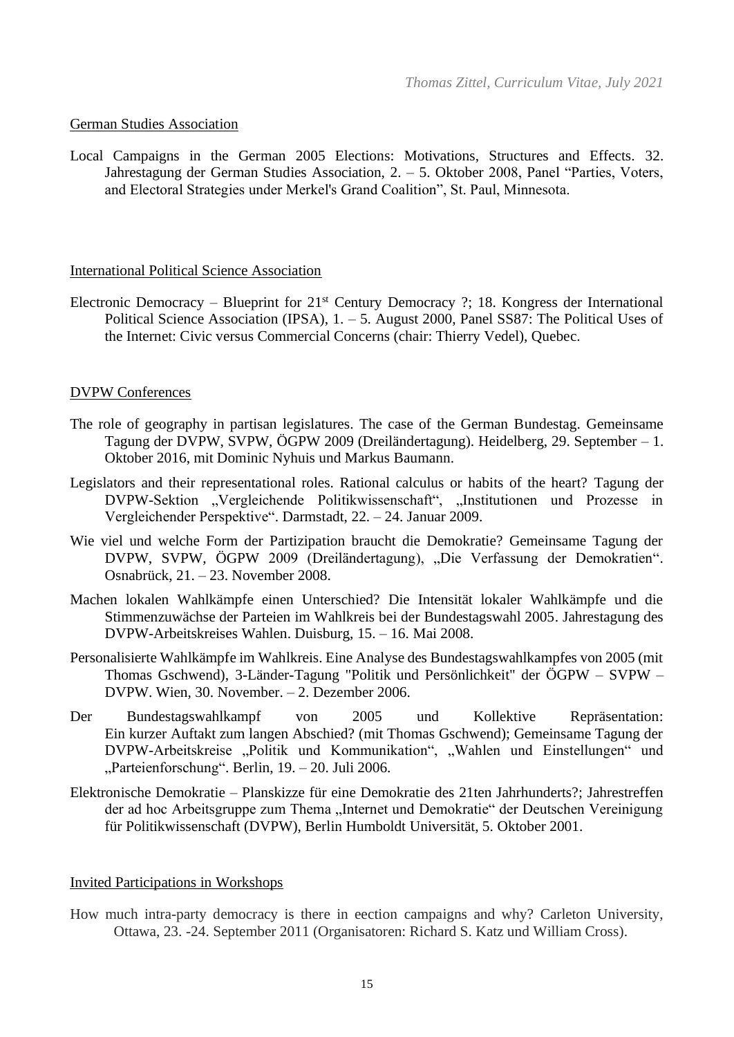## German Studies Association

Local Campaigns in the German 2005 Elections: Motivations, Structures and Effects. 32. Jahrestagung der German Studies Association, 2. – 5. Oktober 2008, Panel "Parties, Voters, and Electoral Strategies under Merkel's Grand Coalition", St. Paul, Minnesota.

## International Political Science Association

Electronic Democracy – Blueprint for  $21<sup>st</sup>$  Century Democracy ?; 18. Kongress der International Political Science Association (IPSA), 1. – 5. August 2000, Panel SS87: The Political Uses of the Internet: Civic versus Commercial Concerns (chair: Thierry Vedel), Quebec.

# DVPW Conferences

- The role of geography in partisan legislatures. The case of the German Bundestag. Gemeinsame Tagung der DVPW, SVPW, ÖGPW 2009 (Dreiländertagung). Heidelberg, 29. September – 1. Oktober 2016, mit Dominic Nyhuis und Markus Baumann.
- Legislators and their representational roles. Rational calculus or habits of the heart? Tagung der DVPW-Sektion "Vergleichende Politikwissenschaft", "Institutionen und Prozesse in Vergleichender Perspektive". Darmstadt, 22. – 24. Januar 2009.
- Wie viel und welche Form der Partizipation braucht die Demokratie? Gemeinsame Tagung der DVPW, SVPW, ÖGPW 2009 (Dreiländertagung), "Die Verfassung der Demokratien". Osnabrück, 21. – 23. November 2008.
- Machen lokalen Wahlkämpfe einen Unterschied? Die Intensität lokaler Wahlkämpfe und die Stimmenzuwächse der Parteien im Wahlkreis bei der Bundestagswahl 2005. Jahrestagung des DVPW-Arbeitskreises Wahlen. Duisburg, 15. – 16. Mai 2008.
- Personalisierte Wahlkämpfe im Wahlkreis. Eine Analyse des Bundestagswahlkampfes von 2005 (mit Thomas Gschwend), 3-Länder-Tagung "Politik und Persönlichkeit" der ÖGPW – SVPW – DVPW. Wien, 30. November. – 2. Dezember 2006.
- Der Bundestagswahlkampf von 2005 und Kollektive Repräsentation: Ein kurzer Auftakt zum langen Abschied? (mit Thomas Gschwend); Gemeinsame Tagung der DVPW-Arbeitskreise "Politik und Kommunikation", "Wahlen und Einstellungen" und "Parteienforschung". Berlin, 19. – 20. Juli 2006.
- Elektronische Demokratie Planskizze für eine Demokratie des 21ten Jahrhunderts?; Jahrestreffen der ad hoc Arbeitsgruppe zum Thema "Internet und Demokratie" der Deutschen Vereinigung für Politikwissenschaft (DVPW), Berlin Humboldt Universität, 5. Oktober 2001.

## Invited Participations in Workshops

How much intra-party democracy is there in eection campaigns and why? Carleton University, Ottawa, 23. -24. September 2011 (Organisatoren: Richard S. Katz und William Cross).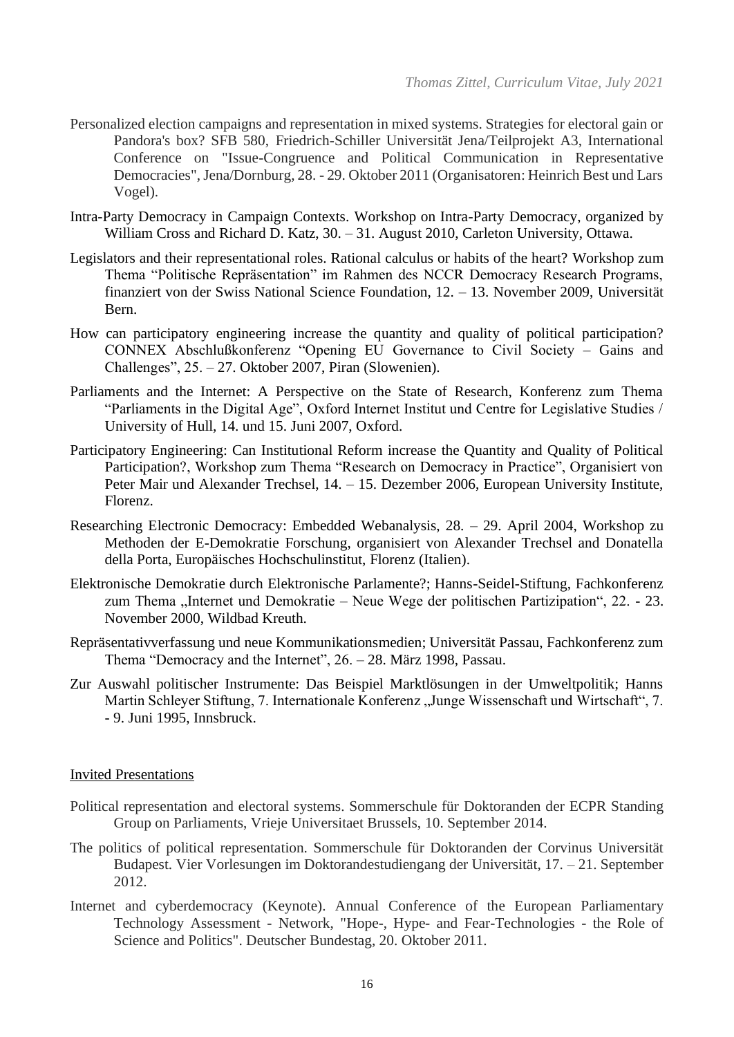- Personalized election campaigns and representation in mixed systems. Strategies for electoral gain or Pandora's box? SFB 580, Friedrich-Schiller Universität Jena/Teilprojekt A3, International Conference on "Issue-Congruence and Political Communication in Representative Democracies", Jena/Dornburg, 28. - 29. Oktober 2011 (Organisatoren: Heinrich Best und Lars Vogel).
- Intra-Party Democracy in Campaign Contexts. Workshop on Intra-Party Democracy, organized by William Cross and Richard D. Katz, 30. – 31. August 2010, Carleton University, Ottawa.
- Legislators and their representational roles. Rational calculus or habits of the heart? Workshop zum Thema "Politische Repräsentation" im Rahmen des NCCR Democracy Research Programs, finanziert von der Swiss National Science Foundation, 12. – 13. November 2009, Universität Bern.
- How can participatory engineering increase the quantity and quality of political participation? CONNEX Abschlußkonferenz "Opening EU Governance to Civil Society – Gains and Challenges", 25. – 27. Oktober 2007, Piran (Slowenien).
- Parliaments and the Internet: A Perspective on the State of Research, Konferenz zum Thema "Parliaments in the Digital Age", Oxford Internet Institut und Centre for Legislative Studies / University of Hull, 14. und 15. Juni 2007, Oxford.
- Participatory Engineering: Can Institutional Reform increase the Quantity and Quality of Political Participation?, Workshop zum Thema "Research on Democracy in Practice", Organisiert von Peter Mair und Alexander Trechsel, 14. – 15. Dezember 2006, European University Institute, Florenz.
- Researching Electronic Democracy: Embedded Webanalysis, 28. 29. April 2004, Workshop zu Methoden der E-Demokratie Forschung, organisiert von Alexander Trechsel and Donatella della Porta, Europäisches Hochschulinstitut, Florenz (Italien).
- Elektronische Demokratie durch Elektronische Parlamente?; Hanns-Seidel-Stiftung, Fachkonferenz zum Thema "Internet und Demokratie – Neue Wege der politischen Partizipation", 22. - 23. November 2000, Wildbad Kreuth.
- Repräsentativverfassung und neue Kommunikationsmedien; Universität Passau, Fachkonferenz zum Thema "Democracy and the Internet", 26. – 28. März 1998, Passau.
- Zur Auswahl politischer Instrumente: Das Beispiel Marktlösungen in der Umweltpolitik; Hanns Martin Schleyer Stiftung, 7. Internationale Konferenz "Junge Wissenschaft und Wirtschaft", 7. - 9. Juni 1995, Innsbruck.

#### Invited Presentations

- Political representation and electoral systems. Sommerschule für Doktoranden der ECPR Standing Group on Parliaments, Vrieje Universitaet Brussels, 10. September 2014.
- The politics of political representation. Sommerschule für Doktoranden der Corvinus Universität Budapest. Vier Vorlesungen im Doktorandestudiengang der Universität, 17. – 21. September 2012.
- Internet and cyberdemocracy (Keynote). Annual Conference of the European Parliamentary Technology Assessment - Network, "Hope-, Hype- and Fear-Technologies - the Role of Science and Politics". Deutscher Bundestag, 20. Oktober 2011.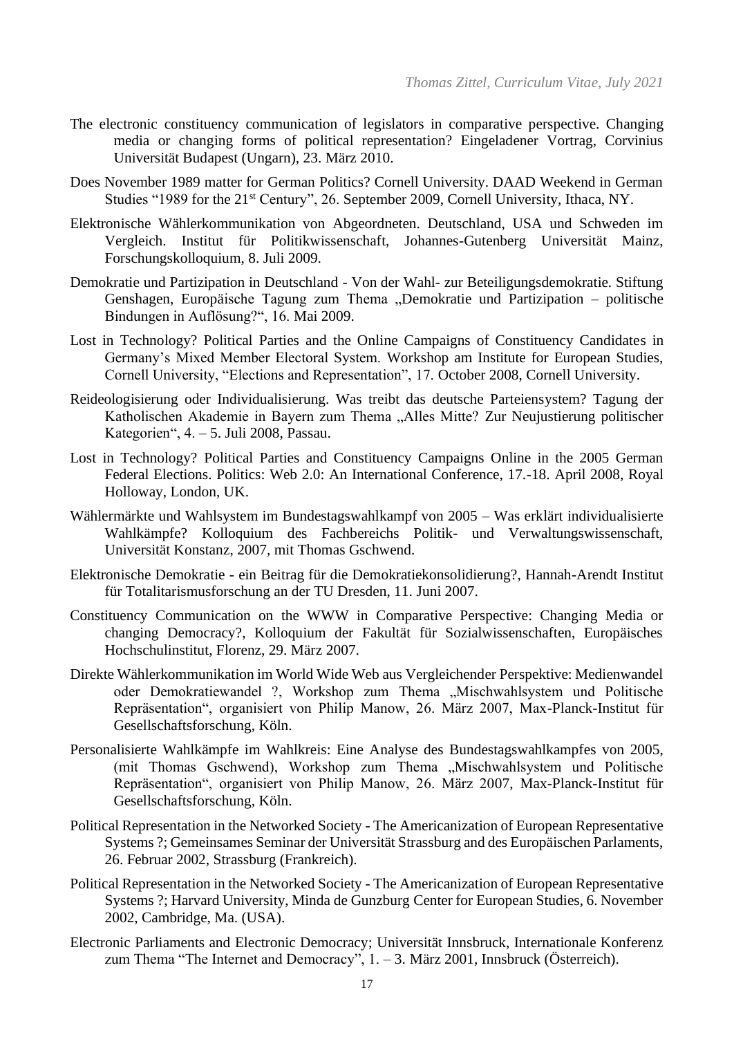- The electronic constituency communication of legislators in comparative perspective. Changing media or changing forms of political representation? Eingeladener Vortrag, Corvinius Universität Budapest (Ungarn), 23. März 2010.
- Does November 1989 matter for German Politics? Cornell University. DAAD Weekend in German Studies "1989 for the 21<sup>st</sup> Century", 26. September 2009, Cornell University, Ithaca, NY.
- Elektronische Wählerkommunikation von Abgeordneten. Deutschland, USA und Schweden im Vergleich. Institut für Politikwissenschaft, Johannes-Gutenberg Universität Mainz, Forschungskolloquium, 8. Juli 2009.
- Demokratie und Partizipation in Deutschland Von der Wahl- zur Beteiligungsdemokratie. Stiftung Genshagen, Europäische Tagung zum Thema "Demokratie und Partizipation – politische Bindungen in Auflösung?", 16. Mai 2009.
- Lost in Technology? Political Parties and the Online Campaigns of Constituency Candidates in Germany's Mixed Member Electoral System. Workshop am Institute for European Studies, Cornell University, "Elections and Representation", 17. October 2008, Cornell University.
- Reideologisierung oder Individualisierung. Was treibt das deutsche Parteiensystem? Tagung der Katholischen Akademie in Bayern zum Thema "Alles Mitte? Zur Neujustierung politischer Kategorien", 4. – 5. Juli 2008, Passau.
- Lost in Technology? Political Parties and Constituency Campaigns Online in the 2005 German Federal Elections. Politics: Web 2.0: An International Conference, 17.-18. April 2008, Royal Holloway, London, UK.
- Wählermärkte und Wahlsystem im Bundestagswahlkampf von 2005 Was erklärt individualisierte Wahlkämpfe? Kolloquium des Fachbereichs Politik- und Verwaltungswissenschaft, Universität Konstanz, 2007, mit Thomas Gschwend.
- Elektronische Demokratie ein Beitrag für die Demokratiekonsolidierung?, Hannah-Arendt Institut für Totalitarismusforschung an der TU Dresden, 11. Juni 2007.
- Constituency Communication on the WWW in Comparative Perspective: Changing Media or changing Democracy?, Kolloquium der Fakultät für Sozialwissenschaften, Europäisches Hochschulinstitut, Florenz, 29. März 2007.
- Direkte Wählerkommunikation im World Wide Web aus Vergleichender Perspektive: Medienwandel oder Demokratiewandel ?, Workshop zum Thema "Mischwahlsystem und Politische Repräsentation", organisiert von Philip Manow, 26. März 2007, Max-Planck-Institut für Gesellschaftsforschung, Köln.
- Personalisierte Wahlkämpfe im Wahlkreis: Eine Analyse des Bundestagswahlkampfes von 2005, (mit Thomas Gschwend), Workshop zum Thema "Mischwahlsystem und Politische Repräsentation", organisiert von Philip Manow, 26. März 2007, Max-Planck-Institut für Gesellschaftsforschung, Köln.
- Political Representation in the Networked Society The Americanization of European Representative Systems ?; Gemeinsames Seminar der Universität Strassburg and des Europäischen Parlaments, 26. Februar 2002, Strassburg (Frankreich).
- Political Representation in the Networked Society The Americanization of European Representative Systems ?; Harvard University, Minda de Gunzburg Center for European Studies, 6. November 2002, Cambridge, Ma. (USA).
- Electronic Parliaments and Electronic Democracy; Universität Innsbruck, Internationale Konferenz zum Thema "The Internet and Democracy", 1. – 3. März 2001, Innsbruck (Österreich).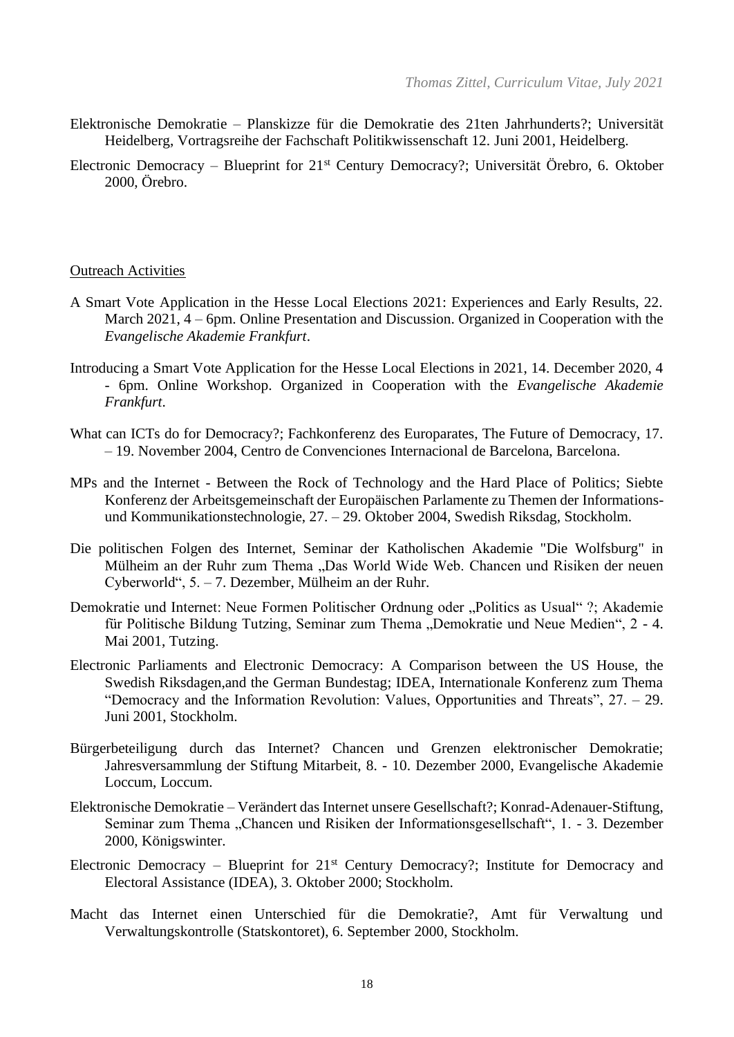- Elektronische Demokratie Planskizze für die Demokratie des 21ten Jahrhunderts?; Universität Heidelberg, Vortragsreihe der Fachschaft Politikwissenschaft 12. Juni 2001, Heidelberg.
- Electronic Democracy Blueprint for 21st Century Democracy?; Universität Örebro, 6. Oktober 2000, Örebro.

#### Outreach Activities

- A Smart Vote Application in the Hesse Local Elections 2021: Experiences and Early Results, 22. March 2021, 4 – 6pm. Online Presentation and Discussion. Organized in Cooperation with the *Evangelische Akademie Frankfurt*.
- Introducing a Smart Vote Application for the Hesse Local Elections in 2021, 14. December 2020, 4 - 6pm. Online Workshop. Organized in Cooperation with the *Evangelische Akademie Frankfurt*.
- What can ICTs do for Democracy?; Fachkonferenz des Europarates, The Future of Democracy, 17. – 19. November 2004, Centro de Convenciones Internacional de Barcelona, Barcelona.
- MPs and the Internet Between the Rock of Technology and the Hard Place of Politics; Siebte Konferenz der Arbeitsgemeinschaft der Europäischen Parlamente zu Themen der Informationsund Kommunikationstechnologie, 27. – 29. Oktober 2004, Swedish Riksdag, Stockholm.
- Die politischen Folgen des Internet, Seminar der Katholischen Akademie "Die Wolfsburg" in Mülheim an der Ruhr zum Thema "Das World Wide Web. Chancen und Risiken der neuen Cyberworld", 5. – 7. Dezember, Mülheim an der Ruhr.
- Demokratie und Internet: Neue Formen Politischer Ordnung oder "Politics as Usual" ?; Akademie für Politische Bildung Tutzing, Seminar zum Thema "Demokratie und Neue Medien", 2 - 4. Mai 2001, Tutzing.
- Electronic Parliaments and Electronic Democracy: A Comparison between the US House, the Swedish Riksdagen,and the German Bundestag; IDEA, Internationale Konferenz zum Thema "Democracy and the Information Revolution: Values, Opportunities and Threats", 27. – 29. Juni 2001, Stockholm.
- Bürgerbeteiligung durch das Internet? Chancen und Grenzen elektronischer Demokratie; Jahresversammlung der Stiftung Mitarbeit, 8. - 10. Dezember 2000, Evangelische Akademie Loccum, Loccum.
- Elektronische Demokratie Verändert das Internet unsere Gesellschaft?; Konrad-Adenauer-Stiftung, Seminar zum Thema "Chancen und Risiken der Informationsgesellschaft", 1. - 3. Dezember 2000, Königswinter.
- Electronic Democracy Blueprint for  $21<sup>st</sup>$  Century Democracy?; Institute for Democracy and Electoral Assistance (IDEA), 3. Oktober 2000; Stockholm.
- Macht das Internet einen Unterschied für die Demokratie?, Amt für Verwaltung und Verwaltungskontrolle (Statskontoret), 6. September 2000, Stockholm.